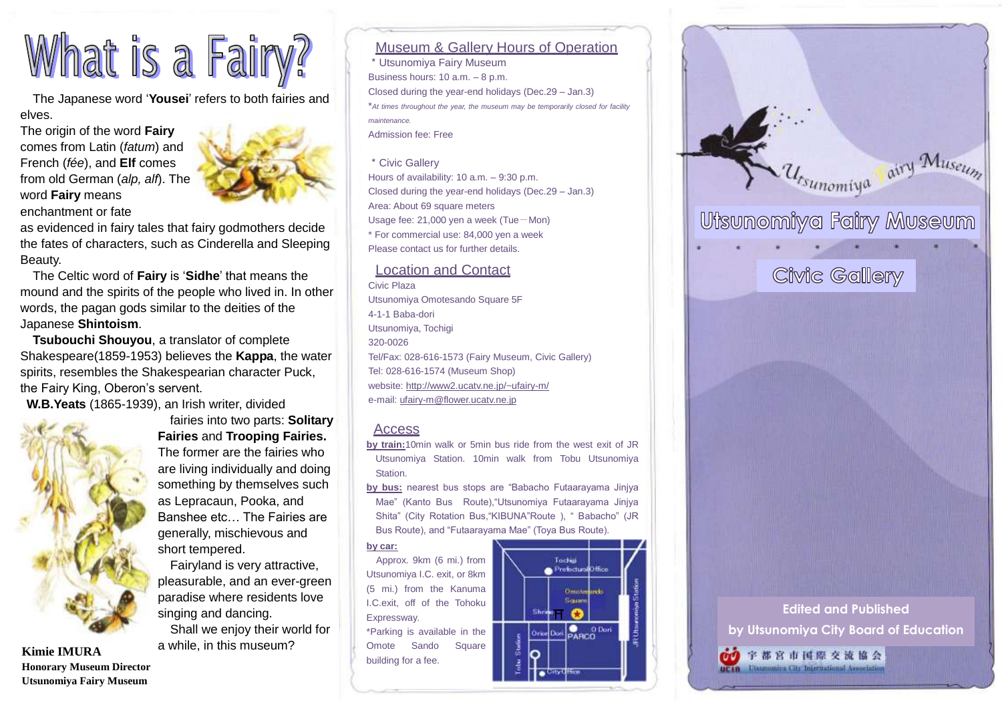# What is a Fairy?

The Japanese word "**Yousei**" refers to both fairies and elves.

The origin of the word **Fairy** comes from Latin (*fatum*) and French (*fée*), and **Elf** comes from old German (*alp, alf*). The word **Fairy** means enchantment or fate



as evidenced in fairy tales that fairy godmothers decide the fates of characters, such as Cinderella and Sleeping Beauty.

The Celtic word of **Fairy** is "**Sidhe**" that means the mound and the spirits of the people who lived in. In other words, the pagan gods similar to the deities of the Japanese **Shintoism**.

**Tsubouchi Shouyou**, a translator of complete Shakespeare(1859-1953) believes the **Kappa**, the water spirits, resembles the Shakespearian character Puck, the Fairy King, Oberon's servent.

**W.B.Yeats** (1865-1939), an Irish writer, divided



**Honorary Museum Director Utsunomiya Fairy Museum**

### fairies into two parts: **Solitary Fairies** and **Trooping Fairies.** The former are the fairies who are living individually and doing something by themselves such as Lepracaun, Pooka, and Banshee etc… The Fairies are generally, mischievous and short tempered.

Fairyland is very attractive, pleasurable, and an ever-green paradise where residents love singing and dancing. Shall we enjoy their world for

a while, in this museum? **Kimie IMURA**

#### Museum & Gallery Hours of Operation

\*Utsunomiya Fairy Museum Business hours: 10 a.m. – 8 p.m. Closed during the year-end holidays (Dec.29 – Jan.3) \**At times throughout the year, the museum may be temporarily closed for facility maintenance.* Admission fee: Free

#### \*Civic Gallery

Hours of availability: 10 a.m. – 9:30 p.m. Closed during the year-end holidays (Dec.29 – Jan.3) Area: About 69 square meters Usage fee: 21,000 yen a week (Tue-Mon) \* For commercial use: 84,000 yen a week Please contact us for further details.

#### Location and Contact

Civic Plaza Utsunomiya Omotesando Square 5F 4-1-1 Baba-dori Utsunomiya, Tochigi 320-0026 Tel/Fax: 028-616-1573 (Fairy Museum, Civic Gallery) Tel: 028-616-1574 (Museum Shop) website:<http://www2.ucatv.ne.jp/~ufairy-m/> e-mail[: ufairy-m@flower.ucatv.ne.jp](mailto:ufairy-m@flower.ucatv.ne.jp)

#### Access

- **by train:**10min walk or 5min bus ride from the west exit of JR Utsunomiya Station. 10min walk from Tobu Utsunomiya Station.
- **by bus:** nearest bus stops are "Babacho Futaarayama Jinjya Mae" (Kanto Bus Route),"Utsunomiya Futaarayama Jinjya Shita" (City Rotation Bus,"KIBUNA"Route ), " Babacho" (JR Bus Route), and "Futaarayama Mae" (Toya Bus Route).

#### **by car:**

Approx. 9km (6 mi.) from Utsunomiya I.C. exit, or 8km (5 mi.) from the Kanuma I.C.exit, off of the Tohoku Expressway. \*Parking is available in the Omote Sando Square building for a fee.





## **Edited and Published**

**by Utsunomiya City Board of Education**

univa City International Association

69 宇都宮市国際交流協会

**BETR**